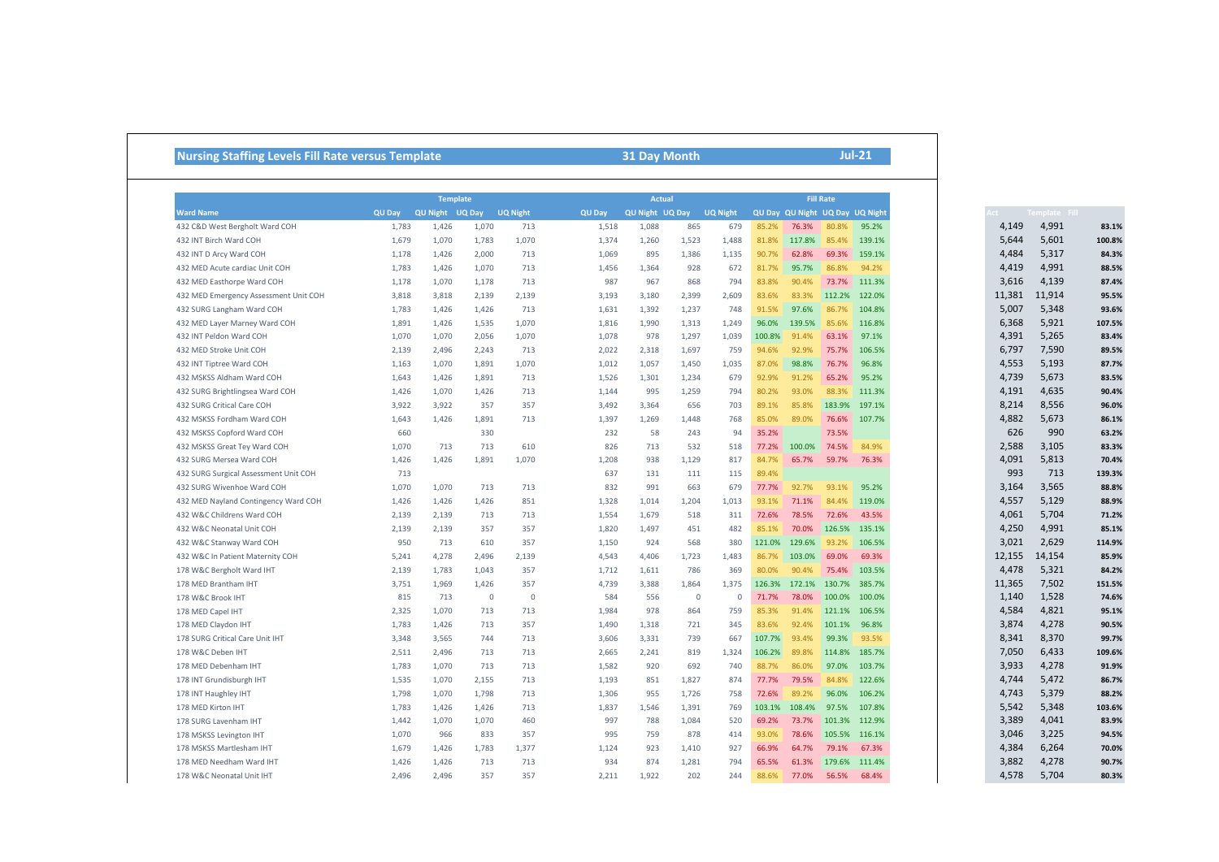## **Nursing Staffing Levels Fill Rate versus Template 31 Day Month**

**Jul-21**

|                                       |        |                 | <b>Actual</b> |                 |        |                 |          | <b>Fill Rate</b> |        |        |        |                                 |  |
|---------------------------------------|--------|-----------------|---------------|-----------------|--------|-----------------|----------|------------------|--------|--------|--------|---------------------------------|--|
| <b>Ward Name</b>                      | QU Day | QU Night UQ Day |               | <b>UQ Night</b> | QU Day | QU Night UQ Day |          | <b>UQ Night</b>  |        |        |        | QU Day QU Night UQ Day UQ Night |  |
| 432 C&D West Bergholt Ward COH        | 1,783  | 1,426           | 1,070         | 713             | 1,518  | 1,088           | 865      | 679              | 85.2%  | 76.3%  | 80.8%  | 95.2%                           |  |
| 432 INT Birch Ward COH                | 1,679  | 1,070           | 1,783         | 1,070           | 1,374  | 1,260           | 1,523    | 1,488            | 81.8%  | 117.8% | 85.4%  | 139.1%                          |  |
| 432 INT D Arcy Ward COH               | 1,178  | 1,426           | 2,000         | 713             | 1,069  | 895             | 1,386    | 1,135            | 90.7%  | 62.8%  | 69.3%  | 159.1%                          |  |
| 432 MED Acute cardiac Unit COH        | 1,783  | 1,426           | 1,070         | 713             | 1,456  | 1,364           | 928      | 672              | 81.7%  | 95.7%  | 86.8%  | 94.2%                           |  |
| 432 MED Easthorpe Ward COH            | 1,178  | 1,070           | 1,178         | 713             | 987    | 967             | 868      | 794              | 83.8%  | 90.4%  | 73.7%  | 111.3%                          |  |
| 432 MED Emergency Assessment Unit COH | 3,818  | 3,818           | 2.139         | 2.139           | 3,193  | 3,180           | 2,399    | 2,609            | 83.6%  | 83.3%  | 112.2% | 122.0%                          |  |
| 432 SURG Langham Ward COH             | 1,783  | 1,426           | 1,426         | 713             | 1,631  | 1,392           | 1,237    | 748              | 91.5%  | 97.6%  | 86.7%  | 104.8%                          |  |
| 432 MED Layer Marney Ward COH         | 1,891  | 1,426           | 1,535         | 1,070           | 1,816  | 1,990           | 1,313    | 1,249            | 96.0%  | 139.5% | 85.6%  | 116.8%                          |  |
| 432 INT Peldon Ward COH               | 1,070  | 1,070           | 2,056         | 1,070           | 1,078  | 978             | 1,297    | 1,039            | 100.8% | 91.4%  | 63.1%  | 97.1%                           |  |
| 432 MED Stroke Unit COH               | 2,139  | 2,496           | 2,243         | 713             | 2,022  | 2,318           | 1,697    | 759              | 94.6%  | 92.9%  | 75.7%  | 106.5%                          |  |
| 432 INT Tiptree Ward COH              | 1,163  | 1,070           | 1,891         | 1,070           | 1,012  | 1,057           | 1,450    | 1,035            | 87.0%  | 98.8%  | 76.7%  | 96.8%                           |  |
| 432 MSKSS Aldham Ward COH             | 1,643  | 1,426           | 1,891         | 713             | 1,526  | 1,301           | 1,234    | 679              | 92.9%  | 91.2%  | 65.2%  | 95.2%                           |  |
| 432 SURG Brightlingsea Ward COH       | 1,426  | 1,070           | 1,426         | 713             | 1,144  | 995             | 1,259    | 794              | 80.2%  | 93.0%  | 88.3%  | 111.3%                          |  |
| 432 SURG Critical Care COH            | 3,922  | 3,922           | 357           | 357             | 3,492  | 3,364           | 656      | 703              | 89.1%  | 85.8%  | 183.9% | 197.1%                          |  |
| 432 MSKSS Fordham Ward COH            | 1,643  | 1,426           | 1,891         | 713             | 1,397  | 1,269           | 1,448    | 768              | 85.0%  | 89.0%  | 76.6%  | 107.7%                          |  |
| 432 MSKSS Copford Ward COH            | 660    |                 | 330           |                 | 232    | 58              | 243      | 94               | 35.2%  |        | 73.5%  |                                 |  |
| 432 MSKSS Great Tey Ward COH          | 1,070  | 713             | 713           | 610             | 826    | 713             | 532      | 518              | 77.2%  | 100.0% | 74.5%  | 84.9%                           |  |
| 432 SURG Mersea Ward COH              | 1,426  | 1,426           | 1,891         | 1,070           | 1,208  | 938             | 1,129    | 817              | 84.7%  | 65.7%  | 59.7%  | 76.3%                           |  |
| 432 SURG Surgical Assessment Unit COH | 713    |                 |               |                 | 637    | 131             | 111      | 115              | 89.4%  |        |        |                                 |  |
| 432 SURG Wivenhoe Ward COH            | 1,070  | 1,070           | 713           | 713             | 832    | 991             | 663      | 679              | 77.7%  | 92.7%  | 93.1%  | 95.2%                           |  |
| 432 MED Nayland Contingency Ward COH  | 1,426  | 1,426           | 1,426         | 851             | 1,328  | 1,014           | 1,204    | 1,013            | 93.1%  | 71.1%  | 84.4%  | 119.0%                          |  |
| 432 W&C Childrens Ward COH            | 2,139  | 2,139           | 713           | 713             | 1,554  | 1,679           | 518      | 311              | 72.6%  | 78.5%  | 72.6%  | 43.5%                           |  |
| 432 W&C Neonatal Unit COH             | 2,139  | 2,139           | 357           | 357             | 1,820  | 1,497           | 451      | 482              | 85.1%  | 70.0%  | 126.5% | 135.1%                          |  |
| 432 W&C Stanway Ward COH              | 950    | 713             | 610           | 357             | 1,150  | 924             | 568      | 380              | 121.0% | 129.6% | 93.2%  | 106.5%                          |  |
| 432 W&C In Patient Maternity COH      | 5,241  | 4,278           | 2.496         | 2.139           | 4,543  | 4,406           | 1,723    | 1.483            | 86.7%  | 103.0% | 69.0%  | 69.3%                           |  |
| 178 W&C Bergholt Ward IHT             | 2,139  | 1,783           | 1,043         | 357             | 1,712  | 1,611           | 786      | 369              | 80.0%  | 90.4%  | 75.4%  | 103.5%                          |  |
| 178 MED Brantham IHT                  | 3,751  | 1,969           | 1.426         | 357             | 4,739  | 3,388           | 1,864    | 1,375            | 126.3% | 172.1% | 130.7% | 385.7%                          |  |
| 178 W&C Brook IHT                     | 815    | 713             | $\Omega$      | $\mathbf{0}$    | 584    | 556             | $\Omega$ | $\Omega$         | 71.7%  | 78.0%  | 100.0% | 100.0%                          |  |
| 178 MED Capel IHT                     | 2,325  | 1,070           | 713           | 713             | 1,984  | 978             | 864      | 759              | 85.3%  | 91.4%  | 121.1% | 106.5%                          |  |
| 178 MED Claydon IHT                   | 1,783  | 1,426           | 713           | 357             | 1,490  | 1,318           | 721      | 345              | 83.6%  | 92.4%  | 101.1% | 96.8%                           |  |
| 178 SURG Critical Care Unit IHT       | 3,348  | 3,565           | 744           | 713             | 3,606  | 3,331           | 739      | 667              | 107.7% | 93.4%  | 99.3%  | 93.5%                           |  |
| 178 W&C Deben IHT                     | 2,511  | 2,496           | 713           | 713             | 2,665  | 2,241           | 819      | 1,324            | 106.2% | 89.8%  | 114.8% | 185.7%                          |  |
| 178 MED Debenham IHT                  | 1,783  | 1,070           | 713           | 713             | 1,582  | 920             | 692      | 740              | 88.7%  | 86.0%  | 97.0%  | 103.7%                          |  |
| 178 INT Grundisburgh IHT              | 1,535  | 1,070           | 2,155         | 713             | 1,193  | 851             | 1,827    | 874              | 77.7%  | 79.5%  | 84.8%  | 122.6%                          |  |
| 178 INT Haughley IHT                  | 1,798  | 1,070           | 1,798         | 713             | 1,306  | 955             | 1,726    | 758              | 72.6%  | 89.2%  | 96.0%  | 106.2%                          |  |
| 178 MED Kirton IHT                    | 1,783  | 1,426           | 1,426         | 713             | 1,837  | 1,546           | 1,391    | 769              | 103.1% | 108.4% | 97.5%  | 107.8%                          |  |
| 178 SURG Lavenham IHT                 | 1,442  | 1,070           | 1,070         | 460             | 997    | 788             | 1,084    | 520              | 69.2%  | 73.7%  | 101.3% | 112.9%                          |  |
| 178 MSKSS Levington IHT               | 1,070  | 966             | 833           | 357             | 995    | 759             | 878      | 414              | 93.0%  | 78.6%  | 105.5% | 116.1%                          |  |
| 178 MSKSS Martlesham IHT              | 1,679  | 1,426           | 1,783         | 1,377           | 1,124  | 923             | 1,410    | 927              | 66.9%  | 64.7%  | 79.1%  | 67.3%                           |  |
| 178 MED Needham Ward IHT              | 1,426  | 1,426           | 713           | 713             | 934    | 874             | 1,281    | 794              | 65.5%  | 61.3%  | 179.6% | 111.4%                          |  |
| 178 W&C Neonatal Unit IHT             | 2,496  | 2,496           | 357           | 357             | 2,211  | 1,922           | 202      | 244              | 88.6%  | 77.0%  | 56.5%  | 68.4%                           |  |